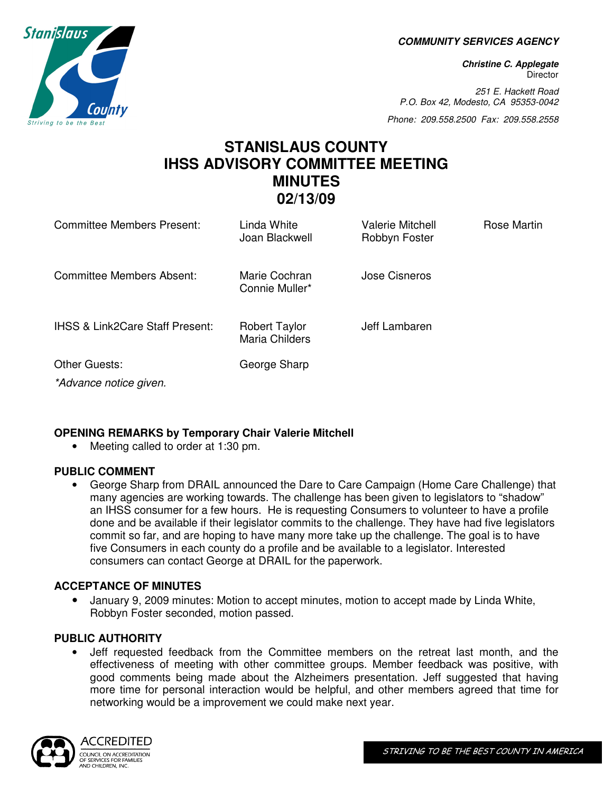**COMMUNITY SERVICES AGENCY** 

**Christine C. Applegate Director** 

251 E. Hackett Road P.O. Box 42, Modesto, CA 95353-0042

Phone: 209.558.2500 Fax: 209.558.2558

# **STANISLAUS COUNTY IHSS ADVISORY COMMITTEE MEETING MINUTES 02/13/09**

| Committee Members Present:                     | Linda White<br>Joan Blackwell                 | Valerie Mitchell<br>Robbyn Foster | Rose Martin |
|------------------------------------------------|-----------------------------------------------|-----------------------------------|-------------|
| Committee Members Absent:                      | Marie Cochran<br>Connie Muller*               | Jose Cisneros                     |             |
| <b>IHSS &amp; Link2Care Staff Present:</b>     | <b>Robert Taylor</b><br><b>Maria Childers</b> | Jeff Lambaren                     |             |
| <b>Other Guests:</b><br>*Advance notice given. | George Sharp                                  |                                   |             |

## **OPENING REMARKS by Temporary Chair Valerie Mitchell**

• Meeting called to order at 1:30 pm.

#### **PUBLIC COMMENT**

• George Sharp from DRAIL announced the Dare to Care Campaign (Home Care Challenge) that many agencies are working towards. The challenge has been given to legislators to "shadow" an IHSS consumer for a few hours. He is requesting Consumers to volunteer to have a profile done and be available if their legislator commits to the challenge. They have had five legislators commit so far, and are hoping to have many more take up the challenge. The goal is to have five Consumers in each county do a profile and be available to a legislator. Interested consumers can contact George at DRAIL for the paperwork.

## **ACCEPTANCE OF MINUTES**

• January 9, 2009 minutes: Motion to accept minutes, motion to accept made by Linda White, Robbyn Foster seconded, motion passed.

#### **PUBLIC AUTHORITY**

• Jeff requested feedback from the Committee members on the retreat last month, and the effectiveness of meeting with other committee groups. Member feedback was positive, with good comments being made about the Alzheimers presentation. Jeff suggested that having more time for personal interaction would be helpful, and other members agreed that time for networking would be a improvement we could make next year.